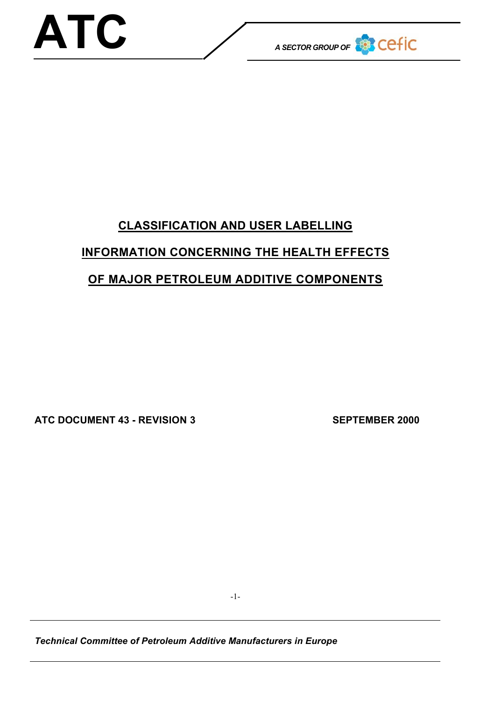

# **CLASSIFICATION AND USER LABELLING INFORMATION CONCERNING THE HEALTH EFFECTS OF MAJOR PETROLEUM ADDITIVE COMPONENTS**

**ATC DOCUMENT 43 - REVISION 3 SEPTEMBER 2000**

-1-

*Technical Committee of Petroleum Additive Manufacturers in Europe*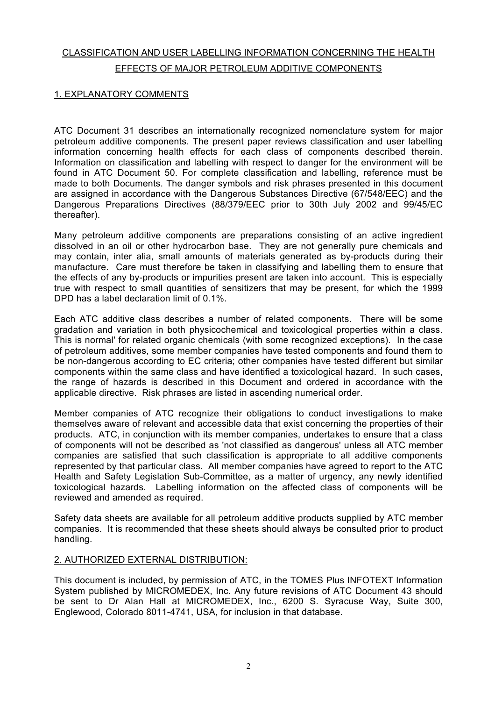## CLASSIFICATION AND USER LABELLING INFORMATION CONCERNING THE HEALTH EFFECTS OF MAJOR PETROLEUM ADDITIVE COMPONENTS

### 1. EXPLANATORY COMMENTS

ATC Document 31 describes an internationally recognized nomenclature system for major petroleum additive components. The present paper reviews classification and user labelling information concerning health effects for each class of components described therein. Information on classification and labelling with respect to danger for the environment will be found in ATC Document 50. For complete classification and labelling, reference must be made to both Documents. The danger symbols and risk phrases presented in this document are assigned in accordance with the Dangerous Substances Directive (67/548/EEC) and the Dangerous Preparations Directives (88/379/EEC prior to 30th July 2002 and 99/45/EC thereafter).

Many petroleum additive components are preparations consisting of an active ingredient dissolved in an oil or other hydrocarbon base. They are not generally pure chemicals and may contain, inter alia, small amounts of materials generated as by-products during their manufacture. Care must therefore be taken in classifying and labelling them to ensure that the effects of any by-products or impurities present are taken into account. This is especially true with respect to small quantities of sensitizers that may be present, for which the 1999 DPD has a label declaration limit of 0.1%.

Each ATC additive class describes a number of related components. There will be some gradation and variation in both physicochemical and toxicological properties within a class. This is normal' for related organic chemicals (with some recognized exceptions). In the case of petroleum additives, some member companies have tested components and found them to be non-dangerous according to EC criteria; other companies have tested different but similar components within the same class and have identified a toxicological hazard. In such cases, the range of hazards is described in this Document and ordered in accordance with the applicable directive. Risk phrases are listed in ascending numerical order.

Member companies of ATC recognize their obligations to conduct investigations to make themselves aware of relevant and accessible data that exist concerning the properties of their products. ATC, in conjunction with its member companies, undertakes to ensure that a class of components will not be described as 'not classified as dangerous' unless all ATC member companies are satisfied that such classification is appropriate to all additive components represented by that particular class. All member companies have agreed to report to the ATC Health and Safety Legislation Sub-Committee, as a matter of urgency, any newly identified toxicological hazards. Labelling information on the affected class of components will be reviewed and amended as required.

Safety data sheets are available for all petroleum additive products supplied by ATC member companies. It is recommended that these sheets should always be consulted prior to product handling.

#### 2. AUTHORIZED EXTERNAL DISTRIBUTION:

This document is included, by permission of ATC, in the TOMES Plus INFOTEXT Information System published by MICROMEDEX, Inc. Any future revisions of ATC Document 43 should be sent to Dr Alan Hall at MICROMEDEX, Inc., 6200 S. Syracuse Way, Suite 300, Englewood, Colorado 8011-4741, USA, for inclusion in that database.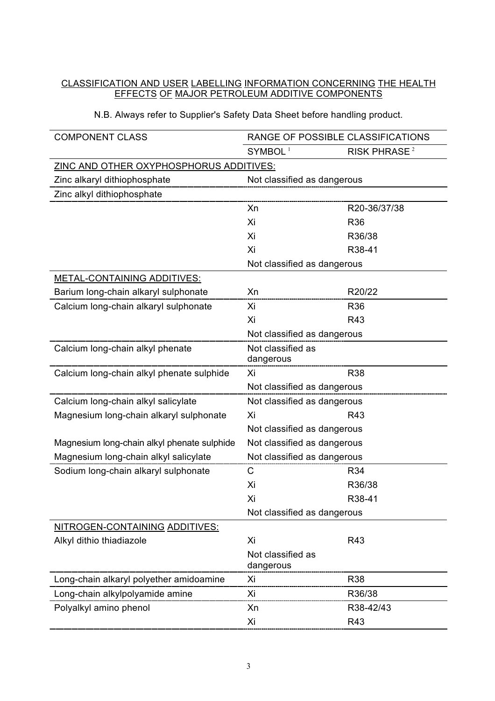#### CLASSIFICATION AND USER LABELLING INFORMATION CONCERNING THE HEALTH EFFECTS OF MAJOR PETROLEUM ADDITIVE COMPONENTS

| <b>COMPONENT CLASS</b>                         | RANGE OF POSSIBLE CLASSIFICATIONS |                          |
|------------------------------------------------|-----------------------------------|--------------------------|
|                                                | SYMBOL <sup>1</sup>               | RISK PHRASE <sup>2</sup> |
| <b>ZINC AND OTHER OXYPHOSPHORUS ADDITIVES:</b> |                                   |                          |
| Zinc alkaryl dithiophosphate                   | Not classified as dangerous       |                          |
| Zinc alkyl dithiophosphate                     |                                   |                          |
|                                                | Xn                                | R20-36/37/38             |
|                                                | Xi                                | R36                      |
|                                                | Xi                                | R36/38                   |
|                                                | Xi                                | R38-41                   |
|                                                | Not classified as dangerous       |                          |
| <b>METAL-CONTAINING ADDITIVES:</b>             |                                   |                          |
| Barium long-chain alkaryl sulphonate           | Xn                                | R20/22                   |
| Calcium long-chain alkaryl sulphonate          | Xi                                | <b>R36</b>               |
|                                                | Xi                                | R43                      |
|                                                | Not classified as dangerous       |                          |
| Calcium long-chain alkyl phenate               | Not classified as<br>dangerous    |                          |
| Calcium long-chain alkyl phenate sulphide      | Xi                                | <b>R38</b>               |
|                                                | Not classified as dangerous       |                          |
| Calcium long-chain alkyl salicylate            | Not classified as dangerous       |                          |
| Magnesium long-chain alkaryl sulphonate        | Xi                                | R43                      |
|                                                | Not classified as dangerous       |                          |
| Magnesium long-chain alkyl phenate sulphide    | Not classified as dangerous       |                          |
| Magnesium long-chain alkyl salicylate          | Not classified as dangerous       |                          |
| Sodium long-chain alkaryl sulphonate           | C                                 | R34                      |
|                                                | Xi                                | R36/38                   |
|                                                | Xi                                | R38-41                   |
|                                                | Not classified as dangerous       |                          |
| NITROGEN-CONTAINING ADDITIVES:                 |                                   |                          |
| Alkyl dithio thiadiazole                       | Xi                                | R43                      |
|                                                | Not classified as<br>dangerous    |                          |
| Long-chain alkaryl polyether amidoamine        | Xi                                | <b>R38</b>               |
| Long-chain alkylpolyamide amine                | Xi                                | R36/38                   |
| Polyalkyl amino phenol                         | Xn                                | R38-42/43                |
|                                                | Xi                                | R43                      |

#### N.B. Always refer to Supplier's Safety Data Sheet before handling product.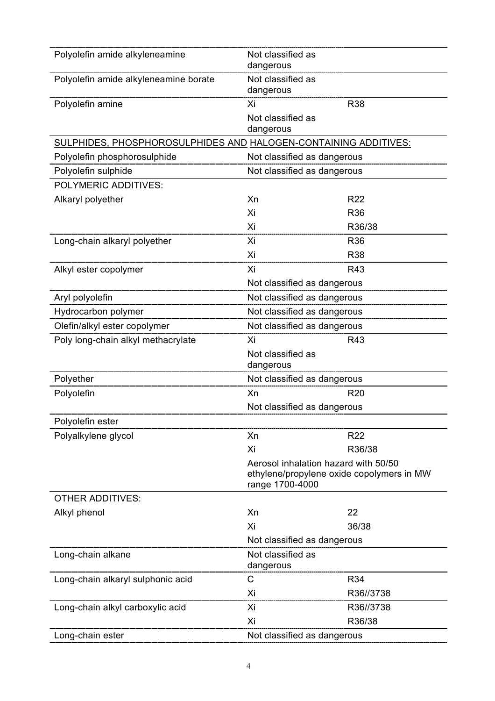| Polyolefin amide alkyleneamine<br>Not classified as<br>dangerous<br>Polyolefin amide alkyleneamine borate<br>Not classified as<br>dangerous<br><b>R38</b><br>Polyolefin amine<br>Xi<br>Not classified as |
|----------------------------------------------------------------------------------------------------------------------------------------------------------------------------------------------------------|
|                                                                                                                                                                                                          |
|                                                                                                                                                                                                          |
|                                                                                                                                                                                                          |
| dangerous                                                                                                                                                                                                |
| SULPHIDES, PHOSPHOROSULPHIDES AND HALOGEN-CONTAINING ADDITIVES:                                                                                                                                          |
| Polyolefin phosphorosulphide<br>Not classified as dangerous                                                                                                                                              |
| Polyolefin sulphide<br>Not classified as dangerous                                                                                                                                                       |
| <b>POLYMERIC ADDITIVES:</b>                                                                                                                                                                              |
| Alkaryl polyether<br>Xn<br>R <sub>22</sub>                                                                                                                                                               |
| Xi<br>R36                                                                                                                                                                                                |
| R36/38<br>Xi                                                                                                                                                                                             |
| Long-chain alkaryl polyether<br>Xi<br>R36                                                                                                                                                                |
| Xi<br><b>R38</b>                                                                                                                                                                                         |
| Alkyl ester copolymer<br>Xi<br>R43                                                                                                                                                                       |
| Not classified as dangerous                                                                                                                                                                              |
| Not classified as dangerous<br>Aryl polyolefin                                                                                                                                                           |
| Hydrocarbon polymer<br>Not classified as dangerous                                                                                                                                                       |
| Olefin/alkyl ester copolymer<br>Not classified as dangerous                                                                                                                                              |
| Poly long-chain alkyl methacrylate<br>Xi<br>R43                                                                                                                                                          |
| Not classified as<br>dangerous                                                                                                                                                                           |
| Polyether<br>Not classified as dangerous                                                                                                                                                                 |
| Polyolefin<br><b>R20</b><br>Xn                                                                                                                                                                           |
| Not classified as dangerous                                                                                                                                                                              |
| Polyolefin ester                                                                                                                                                                                         |
| Xn<br>R <sub>22</sub><br>Polyalkylene glycol                                                                                                                                                             |
| Xi<br>R36/38                                                                                                                                                                                             |
| Aerosol inhalation hazard with 50/50<br>ethylene/propylene oxide copolymers in MW<br>range 1700-4000                                                                                                     |
| <b>OTHER ADDITIVES:</b>                                                                                                                                                                                  |
| Xn<br>22<br>Alkyl phenol                                                                                                                                                                                 |
| Xi<br>36/38                                                                                                                                                                                              |
| Not classified as dangerous                                                                                                                                                                              |
| Not classified as<br>Long-chain alkane<br>dangerous                                                                                                                                                      |
| R34<br>C<br>Long-chain alkaryl sulphonic acid                                                                                                                                                            |
| Xi<br>R36//3738                                                                                                                                                                                          |
| Long-chain alkyl carboxylic acid<br>R36//3738<br>Xi                                                                                                                                                      |
| Xi<br>R36/38                                                                                                                                                                                             |
| Long-chain ester<br>Not classified as dangerous                                                                                                                                                          |